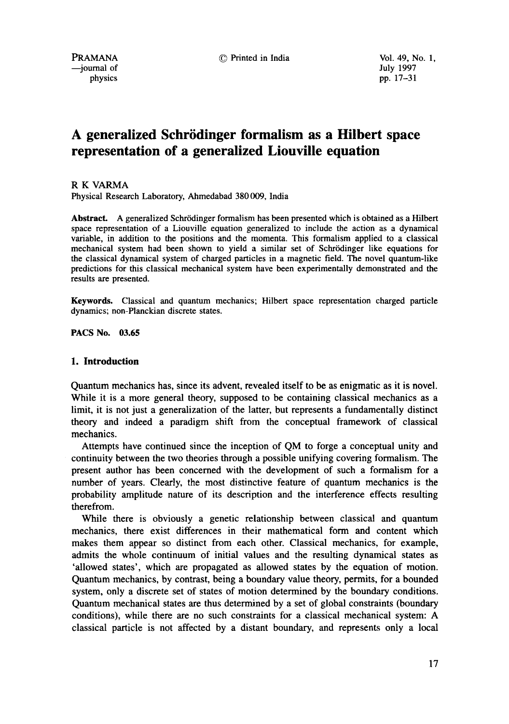--journal of<br>physics

PRAMANA © Printed in India Vol. 49, No. 1, pp. 17-31

# A generalized Schrödinger formalism as a Hilbert space **representation of a generalized Liouville equation**

R K VARMA

Physical Research Laboratory, Ahmedabad 380009, India

Abstract. A generalized Schrödinger formalism has been presented which is obtained as a Hilbert space representation of a Liouville equation generalized to include the action as a dynamical variable, in addition to the positions and the momenta. This formalism applied to a classical mechanical system had been shown to yield a similar set of Schrtdinger like equations for the classical dynamical system of charged particles in a magnetic field. The novel quantum-like predictions for this classical mechanical system have been experimentally demonstrated and the results are presented.

**Keywords.** Classical and quantum mechanics; Hilbert space representation charged particle dynamics; non-Planckian discrete states.

**PACS No. 03.65** 

## **1. Introduction**

Quantum mechanics has, since its advent, revealed itself to be as enigmatic as it is novel. While it is a more general theory, supposed to be containing classical mechanics as a limit, it is not just a generalization of the latter, but represents a fundamentally distinct theory and indeed a paradigm shift from the conceptual framework of classical mechanics.

Attempts have continued since the inception of QM to forge a conceptual unity and continuity between the two theories through a possible unifying covering formalism. The present author has been concerned with the development of such a formalism for a number of years. Clearly, the most distinctive feature of quantum mechanics is the probability amplitude nature of its description and the interference effects resulting therefrom.

While there is obviously a genetic relationship between classical and quantum mechanics, there exist differences in their mathematical form and content which makes them appear so distinct from each other. Classical mechanics, for example, admits the whole continuum of initial values and the resulting dynamical states as 'allowed states', which are propagated as allowed states by the equation of motion. Quantum mechanics, by contrast, being a boundary value theory, permits, for a bounded system, only a discrete set of states of motion determined by the boundary conditions. Quantum mechanical states are thus determined by a set of global constraints (boundary conditions), while there are no such constraints for a classical mechanical system: A classical particle is not affected by a distant boundary, and represents only a local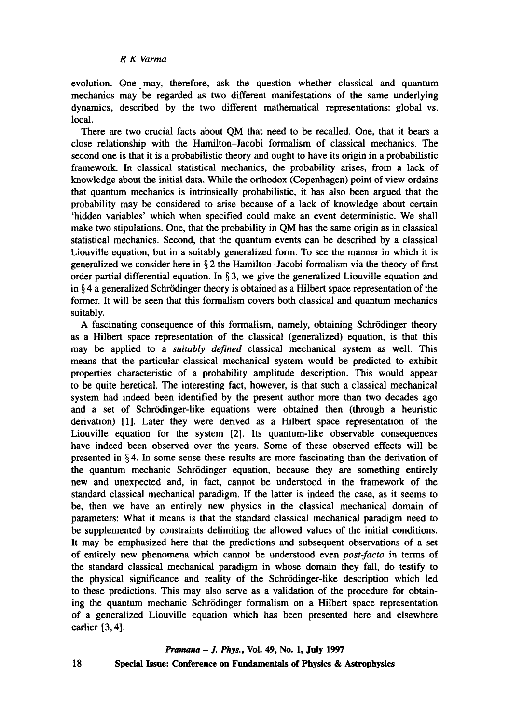evolution. One may, therefore, ask the question whether classical and quantum mechanics may be regarded as two different manifestations of the same underlying dynamics, described by the two different mathematical representations: global vs. local.

There are two crucial facts about QM that need to be recalled. One, that it bears a close relationship with the Hamilton-Jacobi formalism of classical mechanics. The second one is that it is a probabilistic theory and ought to have its origin in a probabilistic framework. In classical statistical mechanics, the probability arises, from a lack of knowledge about the initial data. While the orthodox (Copenhagen) point of view ordains that quantum mechanics is intrinsically probabilistic, it has also been argued that the probability may be considered to arise because of a lack of knowledge about certain 'hidden variables' which when specified could make an event deterministic. We shall make two stipulations. One, that the probability in QM has the same origin as in classical statistical mechanics. Second, that the quantum events can be described by a classical Liouville equation, but in a suitably generalized form. To see the manner in which it is generalized we consider here in  $\S 2$  the Hamilton-Jacobi formalism via the theory of first order partial differential equation. In  $\S$  3, we give the generalized Liouville equation and in  $\S 4$  a generalized Schrödinger theory is obtained as a Hilbert space representation of the former. It will be seen that this formalism covers both classical and quantum mechanics suitably.

A fascinating consequence of this formalism, namely, obtaining Schrödinger theory as a Hilbert space representation of the classical (generalized) equation, is that this may be applied to a *suitably defined* classical mechanical system as well. This means that the particular classical mechanical system would be predicted to exhibit properties characteristic of a probability amplitude description. This would appear to be quite heretical. The interesting fact, however, is that such a classical mechanical system had indeed been identified by the present author more than two decades ago and a set of Schrödinger-like equations were obtained then (through a heuristic derivation) [1]. Later they were derived as a Hilbert space representation of the Liouville equation for the system [2]. Its quantum-like observable consequences have indeed been observed over the years. Some of these observed effects will be presented in § 4. In some sense these results are more fascinating than the derivation of the quantum mechanic Schrödinger equation, because they are something entirely new and unexpected and, in fact, cannot be understood in the framework of the standard classical mechanical paradigm. If the latter is indeed the case, as it seems to be, then we have an entirely new physics in the classical mechanical domain of parameters: What it means is that the standard classical mechanical paradigm need to be supplemented by constraints delimiting the allowed values of the initial conditions. It may be emphasized here that the predictions and subsequent observations of a set of entirely new phenomena which cannot be understood even *post-facto* in terms of the standard classical mechanical paradigm in whose domain they fall, do testify to the physical significance and reality of the Schrödinger-like description which led to these predictions. This may also serve as a validation of the procedure for obtaining the quantum mechanic Schrtdinger formalism on a Hilbert space representation of a generalized Liouville equation which has been presented here and elsewhere earlier [3, 4].

18 *Pramana - J. Phys.,* Vol. 49, No. 1, July 1997 **Special Issue: Conference on Fundamentals of Physics & Astrophysics**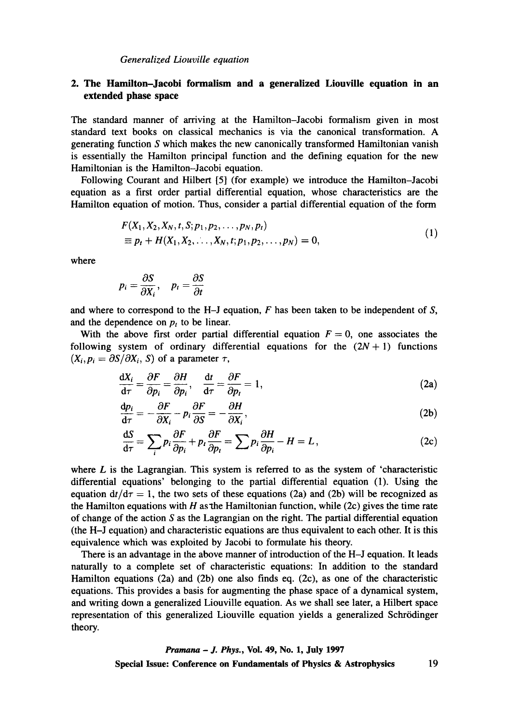# 2. **The Hamilton-Jacobi formalism and a generalized Liouville equation in an extended phase space**

The standard manner of arriving at the Hamilton-Jacobi formalism given in most standard text books on classical mechanics is via the canonical transformation. A generating function S which makes the new canonically transformed Hamiltonian vanish is essentially the Hamilton principal function and the defining equation for the new Hamiltonian is the Hamilton-Jacobi equation.

Following Courant and Hilbert [5] (for example) we introduce the Hamilton-Jacobi equation as a first order partial differential equation, whose characteristics are the Hamilton equation of motion. Thus, consider a partial differential equation of the form

$$
F(X_1, X_2, X_N, t, S; p_1, p_2, \dots, p_N, p_t) \equiv p_t + H(X_1, X_2, \dots, X_N, t; p_1, p_2, \dots, p_N) = 0,
$$
\n(1)

where

$$
p_i = \frac{\partial S}{\partial X_i}, \quad p_t = \frac{\partial S}{\partial t}
$$

and where to correspond to the H-J equation,  $F$  has been taken to be independent of  $S$ , and the dependence on  $p_t$  to be linear.

With the above first order partial differential equation  $F = 0$ , one associates the following system of ordinary differential equations for the  $(2N + 1)$  functions  $(X_i, p_i = \partial S / \partial X_i, S)$  of a parameter  $\tau$ ,

$$
\frac{dX_i}{d\tau} = \frac{\partial F}{\partial p_i} = \frac{\partial H}{\partial p_i}, \quad \frac{dt}{d\tau} = \frac{\partial F}{\partial p_i} = 1,
$$
\n(2a)

$$
\frac{\mathrm{d}p_i}{\mathrm{d}\tau} = -\frac{\partial F}{\partial X_i} - p_i \frac{\partial F}{\partial S} = -\frac{\partial H}{\partial X_i},\tag{2b}
$$

$$
\frac{\mathrm{d}S}{\mathrm{d}\tau} = \sum_{i} p_i \frac{\partial F}{\partial p_i} + p_t \frac{\partial F}{\partial p_t} = \sum p_i \frac{\partial H}{\partial p_i} - H = L,\tag{2c}
$$

where  $L$  is the Lagrangian. This system is referred to as the system of 'characteristic differential equations' belonging to the partial differential equation (1). Using the equation  $dt/d\tau = 1$ , the two sets of these equations (2a) and (2b) will be recognized as the Hamilton equations with H as the Hamiltonian function, while  $(2c)$  gives the time rate of change of the action  $S$  as the Lagrangian on the right. The partial differential equation (the H-J equation) and characteristic equations are thus equivalent to each other. It is this equivalence which was exploited by Jacobi to formulate his theory.

There is an advantage in the above manner of introduction of the H-J equation. It leads naturally to a complete set of characteristic equations: In addition to the standard Hamilton equations (2a) and (2b) one also finds eq. (2c), as one of the characteristic equations. This provides a basis for augmenting the phase space of a dynamical system, and writing down a generalized Liouville equation. As we shall see later, a Hilbert space representation of this generalized Liouville equation yields a generalized Schrödinger theory.

*Pramana - J. Phys.,* **Vol. 49, No. 1, July 1997 Special Issue: Conference on Fundamentals of Physics & Astrophysics** 19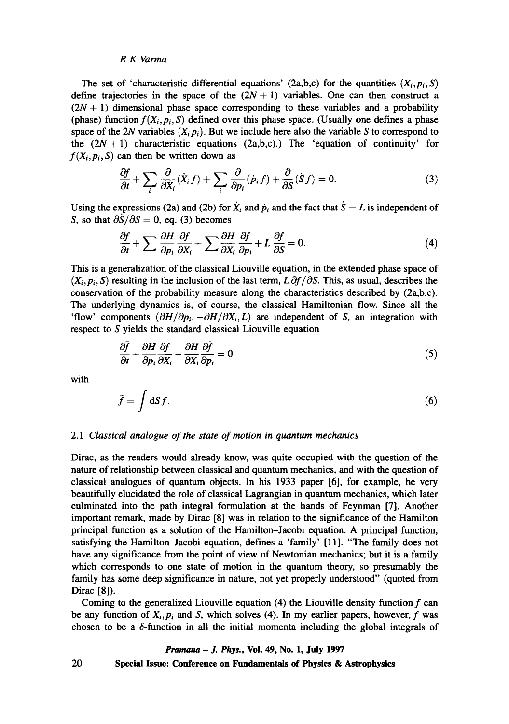The set of 'characteristic differential equations' (2a,b,c) for the quantities  $(X_i, p_i, S)$ define trajectories in the space of the  $(2N + 1)$  variables. One can then construct a  $(2N + 1)$  dimensional phase space corresponding to these variables and a probability (phase) function  $f(X_i, p_i, S)$  defined over this phase space. (Usually one defines a phase space of the 2N variables  $(X_i, p_i)$ . But we include here also the variable S to correspond to the  $(2N + 1)$  characteristic equations  $(2a,b,c)$ .) The 'equation of continuity' for  $f(X_i, p_i, S)$  can then be written down as

$$
\frac{\partial f}{\partial t} + \sum_{i} \frac{\partial}{\partial X_i} (\dot{X}_i f) + \sum_{i} \frac{\partial}{\partial p_i} (\dot{p}_i f) + \frac{\partial}{\partial S} (\dot{S} f) = 0. \tag{3}
$$

Using the expressions (2a) and (2b) for  $\dot{X}_i$  and  $\dot{p}_i$  and the fact that  $\dot{S} = L$  is independent of S, so that  $\partial S/\partial S = 0$ , eq. (3) becomes

$$
\frac{\partial f}{\partial t} + \sum \frac{\partial H}{\partial p_i} \frac{\partial f}{\partial X_i} + \sum \frac{\partial H}{\partial X_i} \frac{\partial f}{\partial p_i} + L \frac{\partial f}{\partial S} = 0.
$$
\n(4)

This is a generalization of the classical Liouville equation, in the extended phase space of  $(X_i, p_i, S)$  resulting in the inclusion of the last term,  $L \partial f / \partial S$ . This, as usual, describes the conservation of the probability measure along the characteristics described by (2a,b,c). The underlying dynamics is, of course, the classical Hamiltonian flow. Since all the 'flow' components  $(\partial H/\partial p_i, -\partial H/\partial X_i, L)$  are independent of S, an integration with respect to S yields the standard classical Liouville equation

$$
\frac{\partial \bar{f}}{\partial t} + \frac{\partial H}{\partial p_i} \frac{\partial \bar{f}}{\partial X_i} - \frac{\partial H}{\partial X_i} \frac{\partial \bar{f}}{\partial p_i} = 0
$$
\n(5)

with

$$
\bar{f} = \int dS f. \tag{6}
$$

#### *2.1 Classical analogue of the state of motion in quantum mechanics*

Dirac, as the readers would already know, was quite occupied with the question of the nature of relationship between classical and quantum mechanics, and with the question of classical analogues of quantum objects. In his 1933 paper [6], for example, he very beautifully elucidated the role of classical Lagrangian in quantum mechanics, which later culminated into the path integral formulation at the hands of Feynman [7]. Another important remark, made by Dirac [8] was in relation to the significance of the Hamilton principal function as a solution of the Hamilton-Jacobi equation. A principal function, satisfying the Hamilton-Jacobi equation, defines a 'family' [11]. "The family does not have any significance from the point of view of Newtonian mechanics; but it is a family which corresponds to one state of motion in the quantum theory, so presumably the family has some deep significance in nature, not yet properly understood" (quoted from Dirac [8]).

Coming to the generalized Liouville equation  $(4)$  the Liouville density function f can be any function of  $X_i, p_i$  and S, which solves (4). In my earlier papers, however, f was chosen to be a  $\delta$ -function in all the initial momenta including the global integrals of

#### *Pramana - J. Phys.,* **Vol. 49, No. 1, July 1997**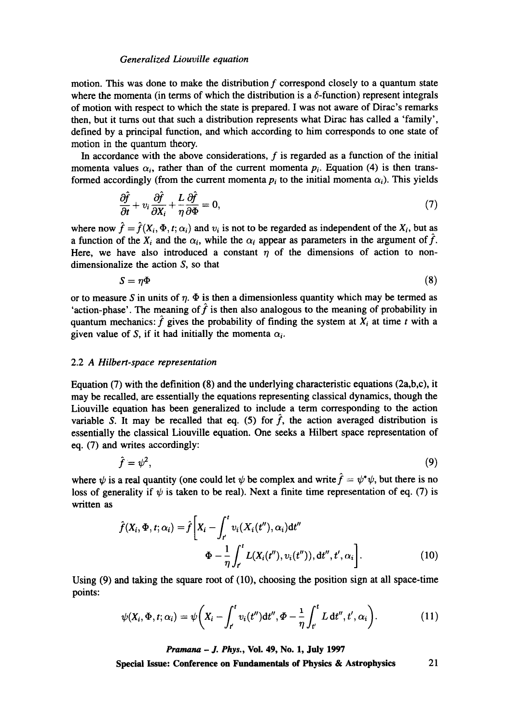#### *Generalized Liouville equation*

motion. This was done to make the distribution  $f$  correspond closely to a quantum state where the momenta (in terms of which the distribution is a  $\delta$ -function) represent integrals of motion with respect to which the state is prepared. I was not aware of Dirac's remarks then, but it turns out that such a distribution represents what Dirac has called a 'family', defined by a principal function, and which according to him corresponds to one state of motion in the quantum theory.

In accordance with the above considerations,  $f$  is regarded as a function of the initial momenta values  $\alpha_i$ , rather than of the current momenta  $p_i$ . Equation (4) is then transformed accordingly (from the current momenta  $p_i$  to the initial momenta  $\alpha_i$ ). This yields

$$
\frac{\partial \hat{f}}{\partial t} + v_i \frac{\partial \hat{f}}{\partial X_i} + \frac{L}{\eta} \frac{\partial \hat{f}}{\partial \Phi} = 0, \tag{7}
$$

where now  $\hat{f} = \hat{f}(X_i, \Phi, t; \alpha_i)$  and  $v_i$  is not to be regarded as independent of the  $X_i$ , but as a function of the  $X_i$  and the  $\alpha_i$ , while the  $\alpha_i$  appear as parameters in the argument of  $\hat{f}$ . Here, we have also introduced a constant  $\eta$  of the dimensions of action to nondimensionalize the action S, so that

$$
S = \eta \Phi \tag{8}
$$

or to measure S in units of  $\eta$ .  $\Phi$  is then a dimensionless quantity which may be termed as 'action-phase'. The meaning of  $\hat{f}$  is then also analogous to the meaning of probability in quantum mechanics:  $\hat{f}$  gives the probability of finding the system at  $X_i$  at time t with a given value of S, if it had initially the momenta  $\alpha_i$ .

#### 2.2 *A Hilbert-space representation*

Equation (7) with the definition (8) and the underlying characteristic equations  $(2a,b,c)$ , it may be recalled, are essentially the equations representing classical dynamics, though the Liouville equation has been generalized to include a term corresponding to the action variable S. It may be recalled that eq. (5) for  $\hat{f}$ , the action averaged distribution is essentially the classical Liouville equation. One seeks a Hilbert space representation of eq. (7) and writes accordingly:

$$
\hat{f} = \psi^2,\tag{9}
$$

where  $\psi$  is a real quantity (one could let  $\psi$  be complex and write  $\hat{f} = \psi^*\psi$ , but there is no loss of generality if  $\psi$  is taken to be real). Next a finite time representation of eq. (7) is written as

$$
\hat{f}(X_i, \Phi, t; \alpha_i) = \hat{f}\bigg[X_i - \int_{t'}^{t} v_i(X_i(t''), \alpha_i) dt''
$$
  

$$
\Phi - \frac{1}{\eta} \int_{t'}^{t} L(X_i(t''), v_i(t'')), dt'', t', \alpha_i\bigg].
$$
 (10)

Using (9) and taking the square root of (10), choosing the position sign at all space-time points:

$$
\psi(X_i, \Phi, t; \alpha_i) = \psi\bigg(X_i - \int_{t'}^{t} v_i(t'')dt'', \Phi - \frac{1}{\eta}\int_{t'}^{t} L dt'', t', \alpha_i\bigg). \tag{11}
$$

*Pramana - J. Phys.,* **Voi. 49, No. 1, July 1997**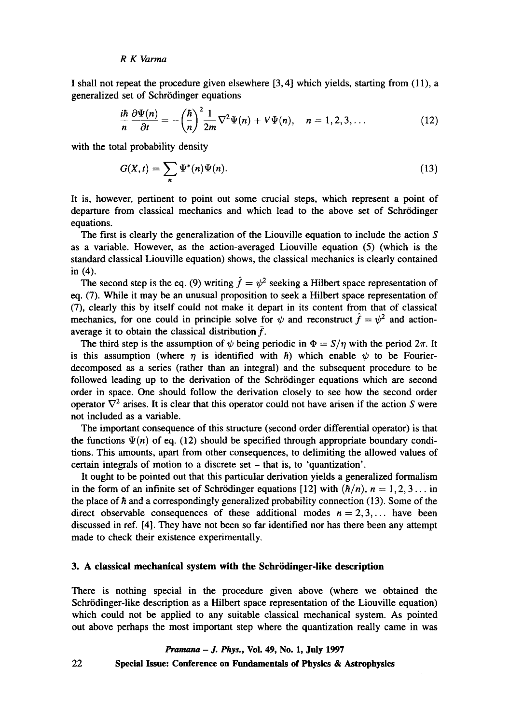I shall not repeat the procedure given elsewhere [3, 4] which yields, starting from (11), a generalized set of Schrödinger equations

$$
\frac{i\hbar}{n}\frac{\partial\Psi(n)}{\partial t} = -\left(\frac{\hbar}{n}\right)^2 \frac{1}{2m}\nabla^2\Psi(n) + V\Psi(n), \quad n = 1, 2, 3, \dots
$$
\n(12)

with the total probability density

$$
G(X,t) = \sum_{n} \Psi^*(n)\Psi(n). \tag{13}
$$

It is, however, pertinent to point out some crucial steps, which represent a point of departure from classical mechanics and which lead to the above set of Schrödinger equations.

The first is clearly the generalization of the Liouville equation to include the action  $S$ as a variable. However, as the action-averaged Liouville equation (5) (which is the standard classical Liouville equation) shows, the classical mechanics is clearly contained in (4).

The second step is the eq. (9) writing  $\hat{f} = \psi^2$  seeking a Hilbert space representation of eq. (7). While it may be an unusual proposition to seek a Hilbert space representation of (7), clearly this by itself could not make it depart in its content from that of classical mechanics, for one could in principle solve for  $\psi$  and reconstruct  $\hat{f} = \psi^2$  and actionaverage it to obtain the classical distribution  $\bar{f}$ .

The third step is the assumption of  $\psi$  being periodic in  $\Phi = S/\eta$  with the period  $2\pi$ . It is this assumption (where  $\eta$  is identified with  $\hbar$ ) which enable  $\psi$  to be Fourierdecomposed as a series (rather than an integral) and the subsequent procedure to be followed leading up to the derivation of the Schrödinger equations which are second order in space. One should follow the derivation closely to see how the second order operator  $\nabla^2$  arises. It is clear that this operator could not have arisen if the action S were not included as a variable.

The important consequence of this structure (second order differential operator) is that the functions  $\Psi(n)$  of eq. (12) should be specified through appropriate boundary conditions. This amounts, apart from other consequences, to delimiting the allowed values of certain integrals of motion to a discrete set  $-$  that is, to 'quantization'.

It ought to be pointed out that this particular derivation yields a generalized formalism in the form of an infinite set of Schrödinger equations [12] with  $(h/n)$ ,  $n = 1, 2, 3...$  in the place of  $\hbar$  and a correspondingly generalized probability connection (13). Some of the direct observable consequences of these additional modes  $n = 2,3,...$  have been discussed in ref. [4]. They have not been so far identified nor has there been any attempt made to check their existence experimentally.

# **3.** A classical mechanical system with the Schrödinger-like description

There is nothing special in the procedure given above (where we obtained the Schrödinger-like description as a Hilbert space representation of the Liouville equation) which could not be applied to any suitable classical mechanical system. As pointed out above perhaps the most important step where the quantization really came in was

#### *Pramana - J. Phys.,* Vol. 49, No. 1, July 1997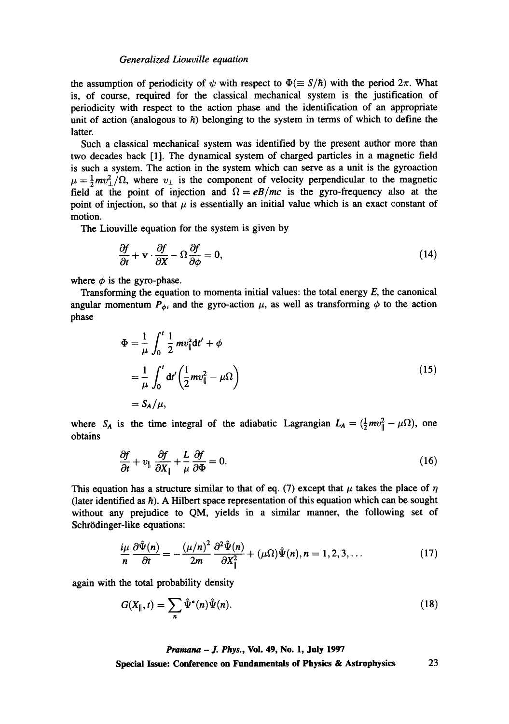the assumption of periodicity of  $\psi$  with respect to  $\Phi(\equiv S/\hbar)$  with the period  $2\pi$ . What is, of course, required for the classical mechanical system is the justification of periodicity with respect to the action phase and the identification of an appropriate unit of action (analogous to  $\hbar$ ) belonging to the system in terms of which to define the latter.

Such a classical mechanical system was identified by the present author more than two decades back [1]. The dynamical system of charged particles in a magnetic field is such a system. The action in the system which can serve as a unit is the gyroaction  $\mu = \frac{1}{2}mv_1^2/\Omega$ , where  $v_{\perp}$  is the component of velocity perpendicular to the magnetic field at the point of injection and  $\Omega = eB/mc$  is the gyro-frequency also at the point of injection, so that  $\mu$  is essentially an initial value which is an exact constant of motion.

The Liouville equation for the system is given by

$$
\frac{\partial f}{\partial t} + \mathbf{v} \cdot \frac{\partial f}{\partial x} - \Omega \frac{\partial f}{\partial \phi} = 0, \tag{14}
$$

where  $\phi$  is the gyro-phase.

Transforming the equation to momenta initial values: the total energy  $E$ , the canonical angular momentum  $P_{\phi}$ , and the gyro-action  $\mu$ , as well as transforming  $\phi$  to the action phase

$$
\Phi = \frac{1}{\mu} \int_0^t \frac{1}{2} m v_{\parallel}^2 dt' + \phi
$$
  
= 
$$
\frac{1}{\mu} \int_0^t dt' \left( \frac{1}{2} m v_{\parallel}^2 - \mu \Omega \right)
$$
  
= 
$$
S_A/\mu,
$$
 (15)

where  $S_A$  is the time integral of the adiabatic Lagrangian  $L_A = (\frac{1}{2}mv_1^2 - \mu\Omega)$ , one obtains

$$
\frac{\partial f}{\partial t} + v_{\parallel} \frac{\partial f}{\partial X_{\parallel}} + \frac{L}{\mu} \frac{\partial f}{\partial \Phi} = 0. \tag{16}
$$

This equation has a structure similar to that of eq. (7) except that  $\mu$  takes the place of  $\eta$ (later identified as  $\hbar$ ). A Hilbert space representation of this equation which can be sought without any prejudice to QM, yields in a similar manner, the following set of Schrödinger-like equations:

$$
\frac{i\mu}{n}\frac{\partial \hat{\Psi}(n)}{\partial t} = -\frac{(\mu/n)^2}{2m}\frac{\partial^2 \hat{\Psi}(n)}{\partial X_1^2} + (\mu\Omega)\hat{\Psi}(n), n = 1, 2, 3, ... \qquad (17)
$$

again with the total probability density

$$
G(X_{\parallel},t)=\sum_{n}\hat{\Psi}^{\ast}(n)\hat{\Psi}(n). \qquad (18)
$$

*Pramana - J. Phys.,* **Voi. 49, No. 1, July 1997**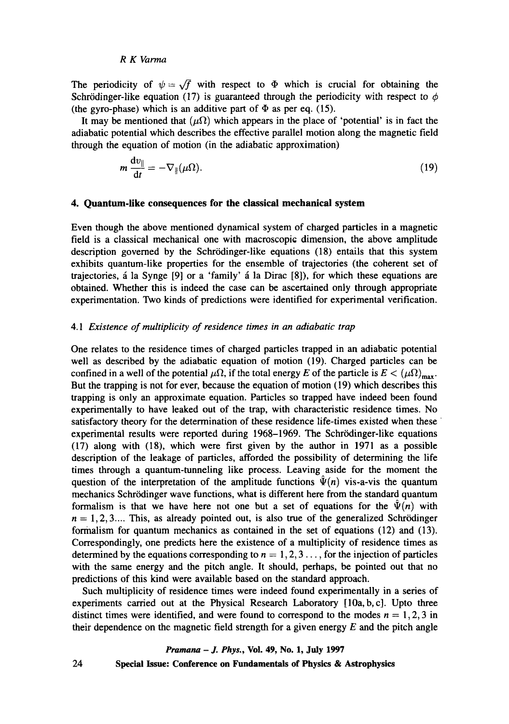The periodicity of  $\psi = \sqrt{f}$  with respect to  $\Phi$  which is crucial for obtaining the Schrödinger-like equation (17) is guaranteed through the periodicity with respect to  $\phi$ (the gyro-phase) which is an additive part of  $\Phi$  as per eq. (15).

It may be mentioned that  $(\mu\Omega)$  which appears in the place of 'potential' is in fact the adiabatic potential which describes the effective parallel motion along the magnetic field through the equation of motion (in the adiabatic approximation)

$$
m \frac{dv_{\parallel}}{dt} = -\nabla_{\parallel}(\mu \Omega). \tag{19}
$$

#### **4. Quantum-like consequences for the classical mechanical system**

Even though the above mentioned dynamical system of charged particles in a magnetic field is a classical mechanical one with macroscopic dimension, the above amplitude description governed by the Schrödinger-like equations (18) entails that this system exhibits quantum-like properties for the ensemble of trajectories (the coherent set of trajectories, á la Synge [9] or a 'family' á la Dirac [8]), for which these equations are obtained. Whether this is indeed the case can be ascertained only through appropriate experimentation. Two kinds of predictions were identified for experimental verification.

## *4.1 Existence of multiplicity of residence times in an adiabatic trap*

One relates to the residence times of charged particles trapped in an adiabatic potential well as described by the adiabatic equation of motion (19). Charged particles can be confined in a well of the potential  $\mu\Omega$ , if the total energy E of the particle is  $E < (\mu\Omega)_{\text{max}}$ . But the trapping is not for ever, because the equation of motion (19) which describes this trapping is only an approximate equation. Particles so trapped have indeed been found experimentally to have leaked out of the trap, with characteristic residence times. No satisfactory theory for the determination of these residence life-times existed when these experimental results were reported during 1968–1969. The Schrödinger-like equations (17) along with (18), which were first given by the author in 1971 as a possible description of the leakage of particles, afforded the possibility of determining the life times through a quantum-tunneling like process. Leaving aside for the moment the question of the interpretation of the amplitude functions  $\hat{\Psi}(n)$  vis-a-vis the quantum mechanics Schrödinger wave functions, what is different here from the standard quantum formalism is that we have here not one but a set of equations for the  $\tilde{\Psi}(n)$  with  $n = 1, 2, 3...$  This, as already pointed out, is also true of the generalized Schrödinger formalism for quantum mechanics as contained in the set of equations (12) and (13). Correspondingly, one predicts here the existence of a multiplicity of residence times as determined by the equations corresponding to  $n = 1, 2, 3, \ldots$ , for the injection of particles with the same energy and the pitch angle. It should, perhaps, be pointed out that no predictions of this kind were available based on the standard approach.

Such multiplicity of residence times were indeed found experimentally in a series of experiments carried out at the Physical Research Laboratory [10a, b,c]. Upto three distinct times were identified, and were found to correspond to the modes  $n = 1, 2, 3$  in their dependence on the magnetic field strength for a given energy  $E$  and the pitch angle

*Pramana - J. Phys.,* Vol. 49, No. 1, July 1997

**Special Issue: Conference on Fundamentals of Physics & Astrophysics** 

24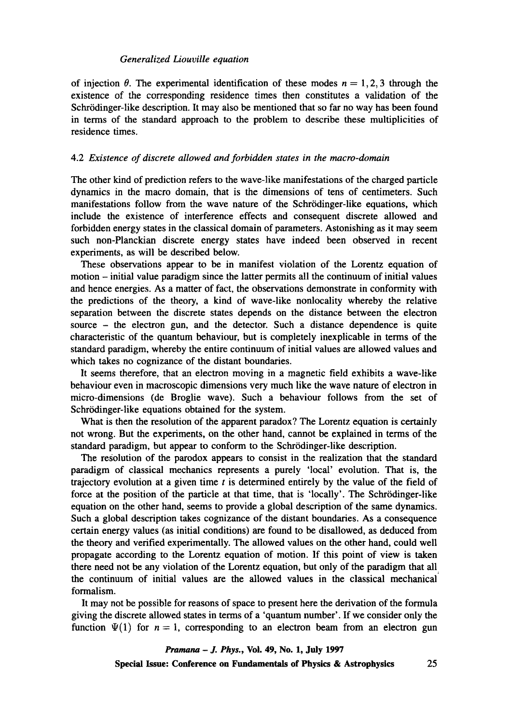## *Generalized Liouville equation*

of injection  $\theta$ . The experimental identification of these modes  $n = 1, 2, 3$  through the existence of the corresponding residence times then constitutes a validation of the Schrödinger-like description. It may also be mentioned that so far no way has been found in terms of the standard approach to the problem to describe these multiplicities of residence times.

## 4.2 *Existence of discrete allowed and forbidden states in the macro-domain*

The other kind of prediction refers to the wave-like manifestations of the charged particle dynamics in the macro domain, that is the dimensions of tens of centimeters. Such manifestations follow from the wave nature of the Schrödinger-like equations, which include the existence of interference effects and consequent discrete allowed and forbidden energy states in the classical domain of parameters. Astonishing as it may seem such non-Planckian discrete energy states have indeed been observed in recent experiments, as will be described below.

These observations appear to be in manifest violation of the Lorentz equation of motion - initial value paradigm since the latter permits all the continuum of initial values and hence energies. As a matter of fact, the observations demonstrate in conformity with the predictions of the theory, a kind of wave-like nonlocality whereby the relative separation between the discrete states depends on the distance between the electron source - the electron gun, and the detector. Such a distance dependence is quite characteristic of the quantum behaviour, but is completely inexplicable in terms of the standard paradigm, whereby the entire continuum of initial values are allowed values and which takes no cognizance of the distant boundaries.

It seems therefore, that an electron moving in a magnetic field exhibits a wave-like behaviour even in macroscopic dimensions very much like the wave nature of electron in micro-dimensions (de Broglie wave). Such a behaviour follows from the set of Schrödinger-like equations obtained for the system.

What is then the resolution of the apparent paradox? The Lorentz equation is certainly not wrong. But the experiments, on the other hand, cannot be explained in terms of the standard paradigm, but appear to conform to the Schrödinger-like description.

The resolution of the parodox appears to consist in the realization that the standard paradigm of classical mechanics represents a purely 'local' evolution. That is, the trajectory evolution at a given time  $t$  is determined entirely by the value of the field of force at the position of the particle at that time, that is 'locally'. The Schrödinger-like equation on the other hand, seems to provide a global description of the same dynamics. Such a global description takes cognizance of the distant boundaries. As a consequence certain energy values (as initial conditions) are found to be disallowed, as deduced from the theory and verified experimentally. The allowed values on the other hand, could well propagate according to the Lorentz equation of motion. If this point of view is taken there need not be any violation of the Lorentz equation, but only of the paradigm that all the continuum of initial values are the allowed values in the classical mechanical formalism.

It may not be possible for reasons of space to present here the derivation of the formula giving the discrete allowed states in terms of a 'quantum number'. If we consider only the function  $\Psi(1)$  for  $n = 1$ , corresponding to an electron beam from an electron gun

> *Pramana - J. Phys.,* Voi. 49, No. 1, July 1997 **Special Issue: Conference on Fundamentals of Physics & Astrophysics** 25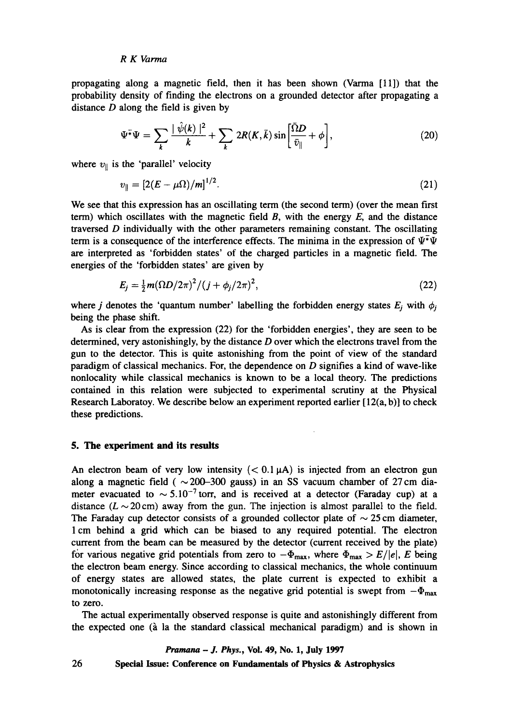propagating along a magnetic field, then it has been shown (Varma [11]) that the probability density of finding the electrons on a grounded detector after propagating a distance  $D$  along the field is given by

$$
\Psi^{\overline{*}}\Psi = \sum_{k} \frac{|\hat{\psi}(k)|^2}{k} + \sum_{k} 2R(K,\overline{k}) \sin\left[\frac{\overline{\Omega}D}{\overline{v}_{\parallel}} + \phi\right],
$$
 (20)

where  $v_{\parallel}$  is the 'parallel' velocity

$$
v_{\parallel} = [2(E - \mu \Omega)/m]^{1/2}.
$$
 (21)

We see that this expression has an oscillating term (the second term) (over the mean first term) which oscillates with the magnetic field  $B$ , with the energy  $E$ , and the distance traversed  $D$  individually with the other parameters remaining constant. The oscillating term is a consequence of the interference effects. The minima in the expression of  $\Psi^{\bar{*}}\Psi$ are interpreted as 'forbidden states' of the charged particles in a magnetic field. The energies of the 'forbidden states' are given by

$$
E_j = \frac{1}{2}m(\Omega D/2\pi)^2/(j+\phi_j/2\pi)^2,
$$
\n(22)

where j denotes the 'quantum number' labelling the forbidden energy states  $E_i$  with  $\phi_i$ being the phase shift.

As is clear from the expression (22) for the 'forbidden energies', they are seen to be determined, very astonishingly, by the distance  $D$  over which the electrons travel from the gun to the detector. This is quite astonishing from the point of view of the standard paradigm of classical mechanics. For, the dependence on  $D$  signifies a kind of wave-like nonlocality while classical mechanics is known to be a local theory. The predictions contained in this relation were subjected to experimental scrutiny at the Physical Research Laboratoy. We describe below an experiment reported earlier  $[12(a, b)]$  to check these predictions.

#### **5. The experiment and its results**

An electron beam of very low intensity  $(< 0.1 \mu A$ ) is injected from an electron gun along a magnetic field ( $\sim$  200–300 gauss) in an SS vacuum chamber of 27 cm diameter evacuated to  $\sim 5.10^{-7}$  torr, and is received at a detector (Faraday cup) at a distance  $(L \sim 20 \text{ cm})$  away from the gun. The injection is almost parallel to the field. The Faraday cup detector consists of a grounded collector plate of  $\sim$  25 cm diameter, 1 cm behind a grid which can be biased to any required potential. The electron current from the beam can be measured by the detector (current received by the plate) for various negative grid potentials from zero to  $-\Phi_{\text{max}}$ , where  $\Phi_{\text{max}} > E/|e|$ , *E* being the electron beam energy. Since according to classical mechanics, the whole continuum of energy states are allowed states, the plate current is expected to exhibit a monotonically increasing response as the negative grid potential is swept from  $-\Phi_{\text{max}}$ to zero.

The actual experimentally observed response is quite and astonishingly different from the expected one (à la the standard classical mechanical paradigm) and is shown in

# *Pramana - J. Phys.,* Vol. 49, No. 1, July 1997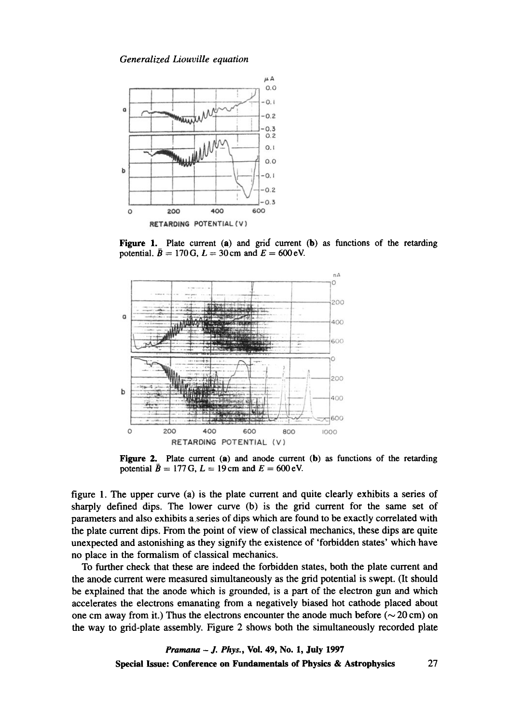*Generalized Liouville equation* 



Figure 1. Plate current (a) and grid current (b) as functions of the retarding potential.  $\bar{B} = 170$  G,  $L = 30$  cm and  $E = 600$  eV.



Figure 2. Plate current (a) and anode current (b) as functions of the retarding potential  $\bar{B} = 177$  G,  $L = 19$  cm and  $E = 600$  eV.

figure 1. The upper curve (a) is the plate current and quite clearly exhibits a series of sharply defined dips. The lower curve (b) is the grid current for the same set of parameters and also exhibits a.series of dips which are found to be exactly correlated with the plate current dips. From the point of view of classical mechanics, these dips are quite unexpected and astonishing as they signify the existence of 'forbidden states' which have no place in the formalism of classical mechanics.

To further check that these are indeed the forbidden states, both the plate current and the anode current were measured simultaneously as the grid potential is swept. (It should be explained that the anode which is grounded, is a part of the electron gun and which accelerates the electrons emanating from a negatively biased hot cathode placed about one cm away from it.) Thus the electrons encounter the anode much before ( $\sim$  20 cm) on the way to grid-plate assembly. Figure 2 shows both the simultaneously recorded plate

> *Pramana - J. Phys.,* **Vol. 49, No. 1, July 1997 Special Issue: Conference on Fundamentals of Physics & Astrophysics** 27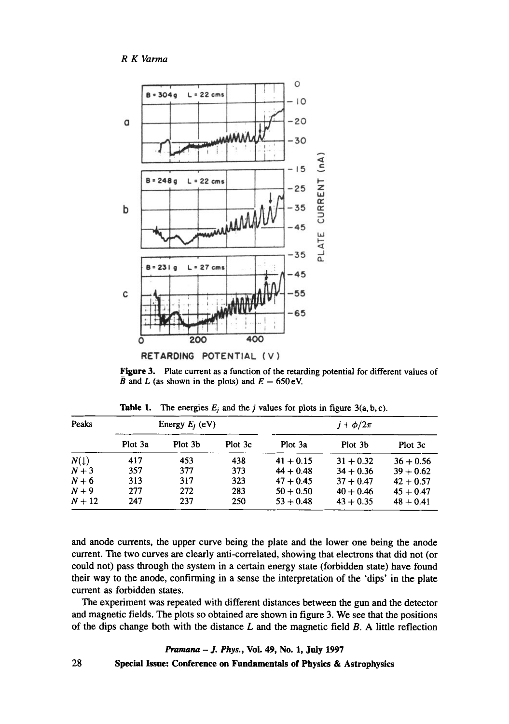*R K Varma* 



Figure 3. Plate current as a function of the retarding potential for different values of  $\bar{B}$  and L (as shown in the plots) and  $E = 650 \text{ eV}$ .

| Peaks  | Energy $E_i$ (eV) |         |         | $j + \phi/2\pi$ |             |             |
|--------|-------------------|---------|---------|-----------------|-------------|-------------|
|        | Plot 3a           | Plot 3b | Plot 3c | Plot 3a         | Plot 3b     | Plot 3c     |
| N(1)   | 417               | 453     | 438     | $41 + 0.15$     | $31 + 0.32$ | $36 + 0.56$ |
| $N+3$  | 357               | 377     | 373     | $44 + 0.48$     | $34 + 0.36$ | $39 + 0.62$ |
| $N+6$  | 313               | 317     | 323     | $47 + 0.45$     | $37 + 0.47$ | $42 + 0.57$ |
| $N+9$  | 277               | 272     | 283     | $50 + 0.50$     | $40 + 0.46$ | $45 + 0.47$ |
| $N+12$ | 247               | 237     | 250     | $53 + 0.48$     | $43 + 0.35$ | $48 + 0.41$ |

**Table 1.** The energies  $E_j$  and the j values for plots in figure 3(a, b, c).

and anode currents, the upper curve being the plate and the lower one being the anode current. The two curves are clearly anti-correlated, showing that electrons that did not (or could not) pass through the system in a certain energy state (forbidden state) have found their way to the anode, confirming in a sense the interpretation of the 'dips' in the plate current as forbidden states.

The experiment was repeated with different distances between the gun and the detector and magnetic fields. The plots so obtained are shown in figure 3. We see that the positions of the dips change both with the distance  $L$  and the magnetic field  $B$ . A little reflection

*Pramana - J. Phys.*, Vol. 49, No. 1, July 1997

Special Issue: Conference on Fundamentals of Physics & Astrophysics

28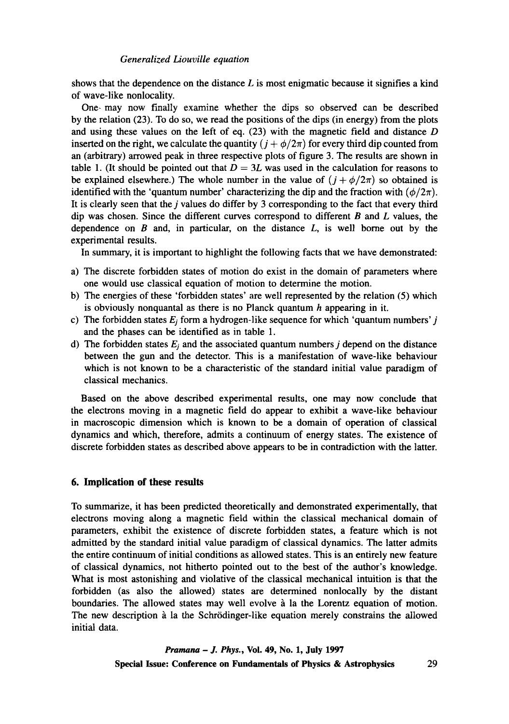shows that the dependence on the distance  $L$  is most enigmatic because it signifies a kind of wave-like nonlocality.

One-may now finally examine whether the dips so observed can be described by the relation (23). To do so, we read the positions of the dips (in energy) from the plots and using these values on the left of eq.  $(23)$  with the magnetic field and distance  $D$ inserted on the right, we calculate the quantity  $(j + \phi/2\pi)$  for every third dip counted from an (arbitrary) arrowed peak in three respective plots of figure 3. The results are shown in table 1. (It should be pointed out that  $D = 3L$  was used in the calculation for reasons to be explained elsewhere.) The whole number in the value of  $(j + \phi/2\pi)$  so obtained is identified with the 'quantum number' characterizing the dip and the fraction with  $(\phi/2\pi)$ . It is clearly seen that the  $j$  values do differ by 3 corresponding to the fact that every third dip was chosen. Since the different curves correspond to different  $B$  and  $L$  values, the dependence on  $B$  and, in particular, on the distance  $L$ , is well borne out by the experimental results.

In summary, it is important to highlight the following facts that we have demonstrated:

- a) The discrete forbidden states of motion do exist in the domain of parameters where one would use classical equation of motion to determine the motion.
- b) The energies of these 'forbidden states' are well represented by the relation (5) which is obviously nonquantal as there is no Planck quantum  $h$  appearing in it.
- c) The forbidden states  $E_i$  form a hydrogen-like sequence for which 'quantum numbers'  $j$ and the phases can be identified as in table 1.
- d) The forbidden states  $E_i$  and the associated quantum numbers  $j$  depend on the distance between the gun and the detector. This is a manifestation of wave-like behaviour which is not known to be a characteristic of the standard initial value paradigm of classical mechanics.

Based on the above described experimental results, one may now conclude that the electrons moving in a magnetic field do appear to exhibit a wave-like behaviour in macroscopic dimension which is known to be a domain of operation of classical dynamics and which, therefore, admits a continuum of energy states. The existence of discrete forbidden states as described above appears to be in contradiction with the latter.

# **6. Implication of these results**

To summarize, it has been predicted theoretically and demonstrated experimentally, that electrons moving along a magnetic field within the classical mechanical domain of parameters, exhibit the existence of discrete forbidden states, a feature which is not admitted by the standard initial value paradigm of classical dynamics. The latter admits the entire continuum of initial conditions as allowed states. This is an entirely new feature of classical dynamics, not hitherto pointed out to the best of the author's knowledge. What is most astonishing and violative of the classical mechanical intuition is that the forbidden (as also the allowed) states are determined nonlocally by the distant boundaries. The allowed states may well evolve à la the Lorentz equation of motion. The new description à la the Schrödinger-like equation merely constrains the allowed initial data.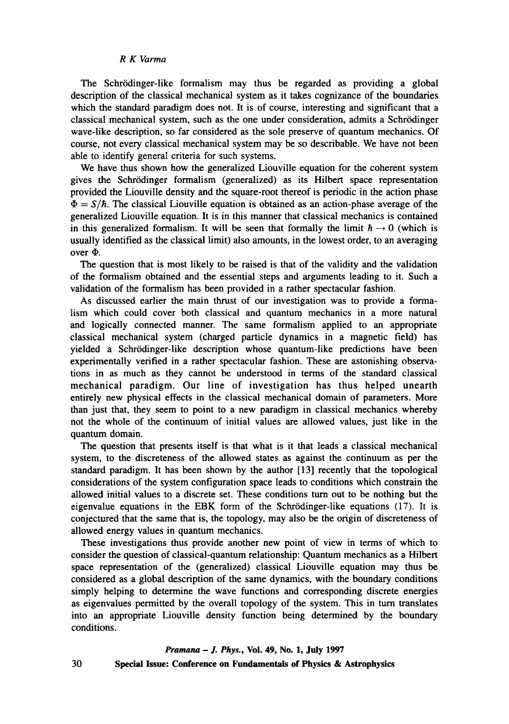The Schrrdinger-like formalism may thus be regarded as providing a global description of the classical mechanical system as it takes cognizance of the boundaries which the standard paradigm does not. It is of course, interesting and significant that a classical mechanical system, such as the one under consideration, admits a Schrrdinger wave-like description, so far considered as the sole preserve of quantum mechanics. Of course, not every classical mechanical system may be so describable. We have not been able to identify general criteria for such systems.

We have thus shown how the generalized Liouville equation for the coherent system gives the Schrtdinger formalism (generalized) as its Hilbert space representation provided the Liouville density and the square-root thereof is periodic in the action phase  $\Phi = S/\hbar$ . The classical Liouville equation is obtained as an action-phase average of the generalized Liouville equation. It is in this manner that classical mechanics is contained in this generalized formalism. It will be seen that formally the limit  $\hbar \rightarrow 0$  (which is usually identified as the classical limit) also amounts, in the lowest order, to an averaging over  $\Phi$ .

The question that is most likely to be raised is that of the validity and the validation of the formalism obtained and the essential steps and arguments leading to it. Such a validation of the formalism has been provided in a rather spectacular fashion.

As discussed earlier the main thrust of our investigation was to provide a formalism which could cover both classical and quantum mechanics in a more natural and logically connected manner. The same formalism applied to an appropriate classical mechanical system (charged particle dynamics in a magnetic field) has yielded a Schrödinger-like description whose quantum-like predictions have been experimentally verified in a rather spectacular fashion. These are astonishing observations in as much as they cannot be understood in terms of the standard classical mechanical paradigm. Our line of investigation has thus helped unearth entirely new physical effects in the classical mechanical domain of parameters. More than just that, they seem to point to a new paradigm in classical mechanics whereby not the whole of the continuum of initial values are allowed values, just like in the quantum domain.

The question that presents itself is that what is it that leads a classical mechanical system, to the discreteness of the allowed states as against the continuum as per the standard paradigm. It has been shown by the author [13] recently that the topological considerations of the system configuration space leads to conditions which constrain the allowed initial values to a discrete set. These conditions turn out to be nothing but the eigenvalue equations in the EBK form of the Schrödinger-like equations  $(17)$ . It is conjectured that the same that is, the topology, may also be the origin of discreteness of allowed energy values in quantum mechanics.

These investigations thus provide another new point of view in terms of which to consider the question of classical-quantum relationship: Quantum mechanics as a Hilbert space representation of the (generalized) classical Liouville equation may thus be considered as a global description of the same dynamics, with the boundary conditions simply helping to determine the wave functions and corresponding discrete energies as eigenvalues permitted by the overall topology of the system. This in turn translates into an appropriate Liouville density function being determined by the boundary conditions.